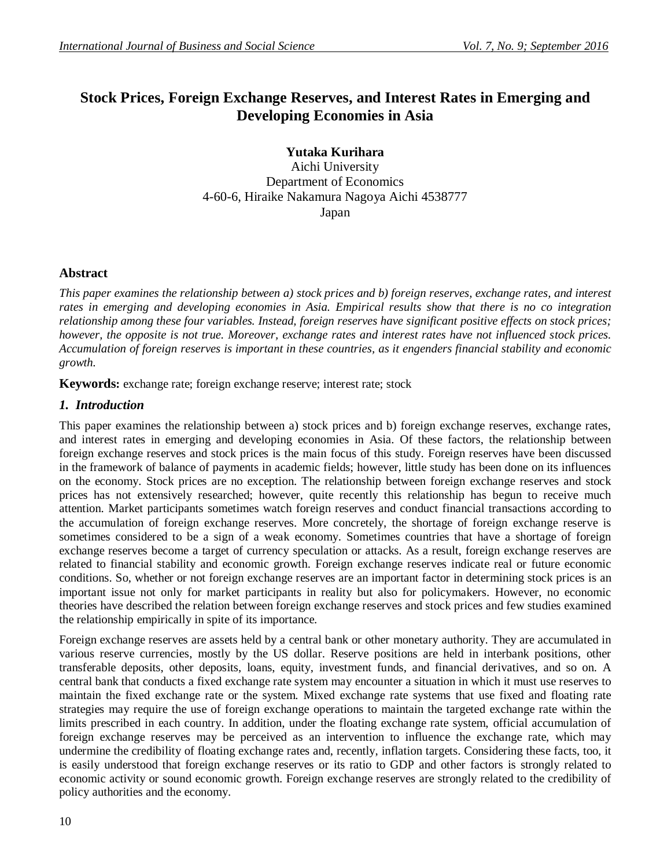# **Stock Prices, Foreign Exchange Reserves, and Interest Rates in Emerging and Developing Economies in Asia**

**Yutaka Kurihara** Aichi University Department of Economics 4-60-6, Hiraike Nakamura Nagoya Aichi 4538777 Japan

## **Abstract**

*This paper examines the relationship between a) stock prices and b) foreign reserves, exchange rates, and interest rates in emerging and developing economies in Asia. Empirical results show that there is no co integration relationship among these four variables. Instead, foreign reserves have significant positive effects on stock prices; however, the opposite is not true. Moreover, exchange rates and interest rates have not influenced stock prices. Accumulation of foreign reserves is important in these countries, as it engenders financial stability and economic growth.*

**Keywords:** exchange rate; foreign exchange reserve; interest rate; stock

# *1. Introduction*

This paper examines the relationship between a) stock prices and b) foreign exchange reserves, exchange rates, and interest rates in emerging and developing economies in Asia. Of these factors, the relationship between foreign exchange reserves and stock prices is the main focus of this study. Foreign reserves have been discussed in the framework of balance of payments in academic fields; however, little study has been done on its influences on the economy. Stock prices are no exception. The relationship between foreign exchange reserves and stock prices has not extensively researched; however, quite recently this relationship has begun to receive much attention. Market participants sometimes watch foreign reserves and conduct financial transactions according to the accumulation of foreign exchange reserves. More concretely, the shortage of foreign exchange reserve is sometimes considered to be a sign of a weak economy. Sometimes countries that have a shortage of foreign exchange reserves become a target of currency speculation or attacks. As a result, foreign exchange reserves are related to financial stability and economic growth. Foreign exchange reserves indicate real or future economic conditions. So, whether or not foreign exchange reserves are an important factor in determining stock prices is an important issue not only for market participants in reality but also for policymakers. However, no economic theories have described the relation between foreign exchange reserves and stock prices and few studies examined the relationship empirically in spite of its importance.

Foreign exchange reserves are assets held by a central bank or other monetary authority. They are accumulated in various reserve currencies, mostly by the US dollar. Reserve positions are held in interbank positions, other transferable deposits, other deposits, loans, equity, investment funds, and financial derivatives, and so on. A central bank that conducts a fixed exchange rate system may encounter a situation in which it must use reserves to maintain the fixed exchange rate or the system. Mixed exchange rate systems that use fixed and floating rate strategies may require the use of foreign exchange operations to maintain the targeted exchange rate within the limits prescribed in each country. In addition, under the floating exchange rate system, official accumulation of foreign exchange reserves may be perceived as an intervention to influence the exchange rate, which may undermine the credibility of floating exchange rates and, recently, inflation targets. Considering these facts, too, it is easily understood that foreign exchange reserves or its ratio to GDP and other factors is strongly related to economic activity or sound economic growth. Foreign exchange reserves are strongly related to the credibility of policy authorities and the economy.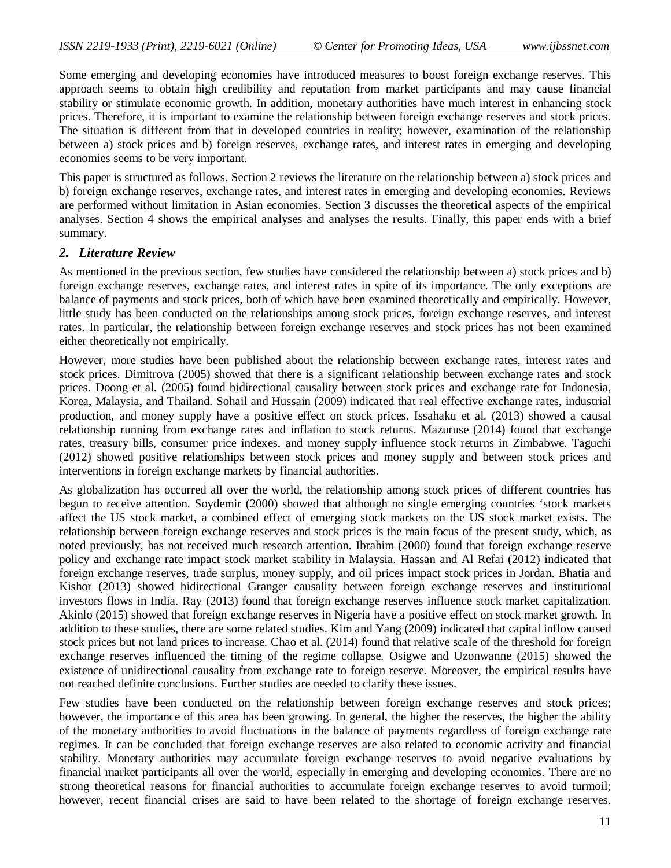Some emerging and developing economies have introduced measures to boost foreign exchange reserves. This approach seems to obtain high credibility and reputation from market participants and may cause financial stability or stimulate economic growth. In addition, monetary authorities have much interest in enhancing stock prices. Therefore, it is important to examine the relationship between foreign exchange reserves and stock prices. The situation is different from that in developed countries in reality; however, examination of the relationship between a) stock prices and b) foreign reserves, exchange rates, and interest rates in emerging and developing economies seems to be very important.

This paper is structured as follows. Section 2 reviews the literature on the relationship between a) stock prices and b) foreign exchange reserves, exchange rates, and interest rates in emerging and developing economies. Reviews are performed without limitation in Asian economies. Section 3 discusses the theoretical aspects of the empirical analyses. Section 4 shows the empirical analyses and analyses the results. Finally, this paper ends with a brief summary.

## *2. Literature Review*

As mentioned in the previous section, few studies have considered the relationship between a) stock prices and b) foreign exchange reserves, exchange rates, and interest rates in spite of its importance. The only exceptions are balance of payments and stock prices, both of which have been examined theoretically and empirically. However, little study has been conducted on the relationships among stock prices, foreign exchange reserves, and interest rates. In particular, the relationship between foreign exchange reserves and stock prices has not been examined either theoretically not empirically.

However, more studies have been published about the relationship between exchange rates, interest rates and stock prices. Dimitrova (2005) showed that there is a significant relationship between exchange rates and stock prices. Doong et al. (2005) found bidirectional causality between stock prices and exchange rate for Indonesia, Korea, Malaysia, and Thailand. Sohail and Hussain (2009) indicated that real effective exchange rates, industrial production, and money supply have a positive effect on stock prices. Issahaku et al. (2013) showed a causal relationship running from exchange rates and inflation to stock returns. Mazuruse (2014) found that exchange rates, treasury bills, consumer price indexes, and money supply influence stock returns in Zimbabwe. Taguchi (2012) showed positive relationships between stock prices and money supply and between stock prices and interventions in foreign exchange markets by financial authorities.

As globalization has occurred all over the world, the relationship among stock prices of different countries has begun to receive attention. Soydemir (2000) showed that although no single emerging countries 'stock markets affect the US stock market, a combined effect of emerging stock markets on the US stock market exists. The relationship between foreign exchange reserves and stock prices is the main focus of the present study, which, as noted previously, has not received much research attention. Ibrahim (2000) found that foreign exchange reserve policy and exchange rate impact stock market stability in Malaysia. Hassan and Al Refai (2012) indicated that foreign exchange reserves, trade surplus, money supply, and oil prices impact stock prices in Jordan. Bhatia and Kishor (2013) showed bidirectional Granger causality between foreign exchange reserves and institutional investors flows in India. Ray (2013) found that foreign exchange reserves influence stock market capitalization. Akinlo (2015) showed that foreign exchange reserves in Nigeria have a positive effect on stock market growth. In addition to these studies, there are some related studies. Kim and Yang (2009) indicated that capital inflow caused stock prices but not land prices to increase. Chao et al. (2014) found that relative scale of the threshold for foreign exchange reserves influenced the timing of the regime collapse. Osigwe and Uzonwanne (2015) showed the existence of unidirectional causality from exchange rate to foreign reserve. Moreover, the empirical results have not reached definite conclusions. Further studies are needed to clarify these issues.

Few studies have been conducted on the relationship between foreign exchange reserves and stock prices; however, the importance of this area has been growing. In general, the higher the reserves, the higher the ability of the monetary authorities to avoid fluctuations in the balance of payments regardless of foreign exchange rate regimes. It can be concluded that foreign exchange reserves are also related to economic activity and financial stability. Monetary authorities may accumulate foreign exchange reserves to avoid negative evaluations by financial market participants all over the world, especially in emerging and developing economies. There are no strong theoretical reasons for financial authorities to accumulate foreign exchange reserves to avoid turmoil; however, recent financial crises are said to have been related to the shortage of foreign exchange reserves.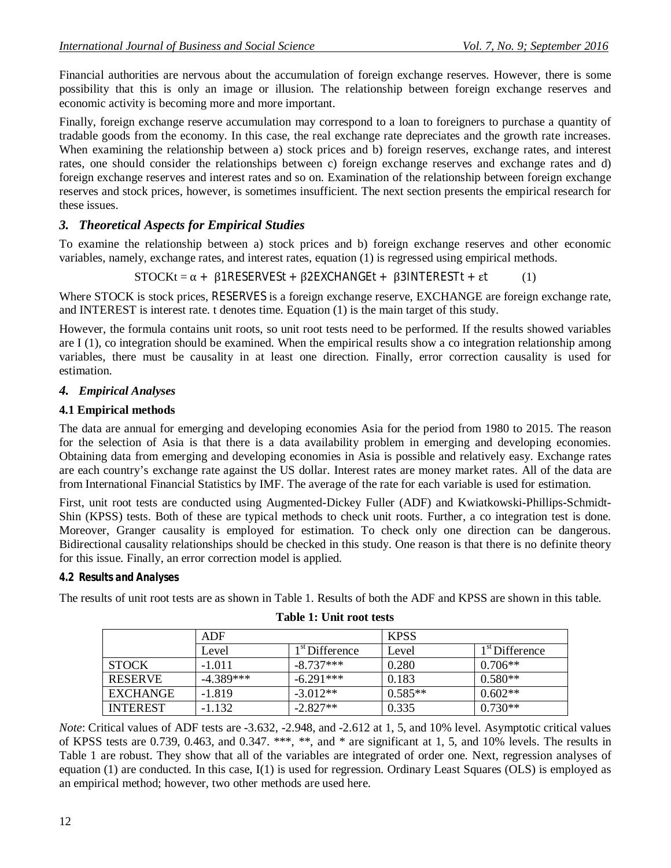Financial authorities are nervous about the accumulation of foreign exchange reserves. However, there is some possibility that this is only an image or illusion. The relationship between foreign exchange reserves and economic activity is becoming more and more important.

Finally, foreign exchange reserve accumulation may correspond to a loan to foreigners to purchase a quantity of tradable goods from the economy. In this case, the real exchange rate depreciates and the growth rate increases. When examining the relationship between a) stock prices and b) foreign reserves, exchange rates, and interest rates, one should consider the relationships between c) foreign exchange reserves and exchange rates and d) foreign exchange reserves and interest rates and so on. Examination of the relationship between foreign exchange reserves and stock prices, however, is sometimes insufficient. The next section presents the empirical research for these issues.

# *3. Theoretical Aspects for Empirical Studies*

To examine the relationship between a) stock prices and b) foreign exchange reserves and other economic variables, namely, exchange rates, and interest rates, equation (1) is regressed using empirical methods.

$$
STOCKt = \alpha + \beta 1RESERVESt + \beta 2EXCHANGEt + \beta 3INTERESTt + \epsilon t \tag{1}
$$

Where STOCK is stock prices, RESERVES is a foreign exchange reserve, EXCHANGE are foreign exchange rate, and INTEREST is interest rate. t denotes time. Equation (1) is the main target of this study.

However, the formula contains unit roots, so unit root tests need to be performed. If the results showed variables are I (1), co integration should be examined. When the empirical results show a co integration relationship among variables, there must be causality in at least one direction. Finally, error correction causality is used for estimation.

# *4. Empirical Analyses*

## **4.1 Empirical methods**

The data are annual for emerging and developing economies Asia for the period from 1980 to 2015. The reason for the selection of Asia is that there is a data availability problem in emerging and developing economies. Obtaining data from emerging and developing economies in Asia is possible and relatively easy. Exchange rates are each country's exchange rate against the US dollar. Interest rates are money market rates. All of the data are from International Financial Statistics by IMF. The average of the rate for each variable is used for estimation.

First, unit root tests are conducted using Augmented-Dickey Fuller (ADF) and Kwiatkowski-Phillips-Schmidt-Shin (KPSS) tests. Both of these are typical methods to check unit roots. Further, a co integration test is done. Moreover, Granger causality is employed for estimation. To check only one direction can be dangerous. Bidirectional causality relationships should be checked in this study. One reason is that there is no definite theory for this issue. Finally, an error correction model is applied.

#### *4.2 Results and Analyses*

The results of unit root tests are as shown in Table 1. Results of both the ADF and KPSS are shown in this table.

|                 | ADF         |                            | <b>KPSS</b> |                            |  |
|-----------------|-------------|----------------------------|-------------|----------------------------|--|
|                 | Level       | 1 <sup>st</sup> Difference | Level       | 1 <sup>st</sup> Difference |  |
| <b>STOCK</b>    | $-1.011$    | $-8.737***$                | 0.280       | $0.706**$                  |  |
| <b>RESERVE</b>  | $-4.389***$ | $-6.291***$                | 0.183       | $0.580**$                  |  |
| EXCHANGE        | $-1.819$    | $-3.012**$                 | $0.585**$   | $0.602**$                  |  |
| <b>INTEREST</b> | $-1.132$    | $-2.827**$                 | 0.335       | $0.730**$                  |  |

*Note*: Critical values of ADF tests are -3.632, -2.948, and -2.612 at 1, 5, and 10% level. Asymptotic critical values of KPSS tests are 0.739, 0.463, and 0.347. \*\*\*, \*\*, and \* are significant at 1, 5, and 10% levels. The results in Table 1 are robust. They show that all of the variables are integrated of order one. Next, regression analyses of equation (1) are conducted. In this case, I(1) is used for regression. Ordinary Least Squares (OLS) is employed as an empirical method; however, two other methods are used here.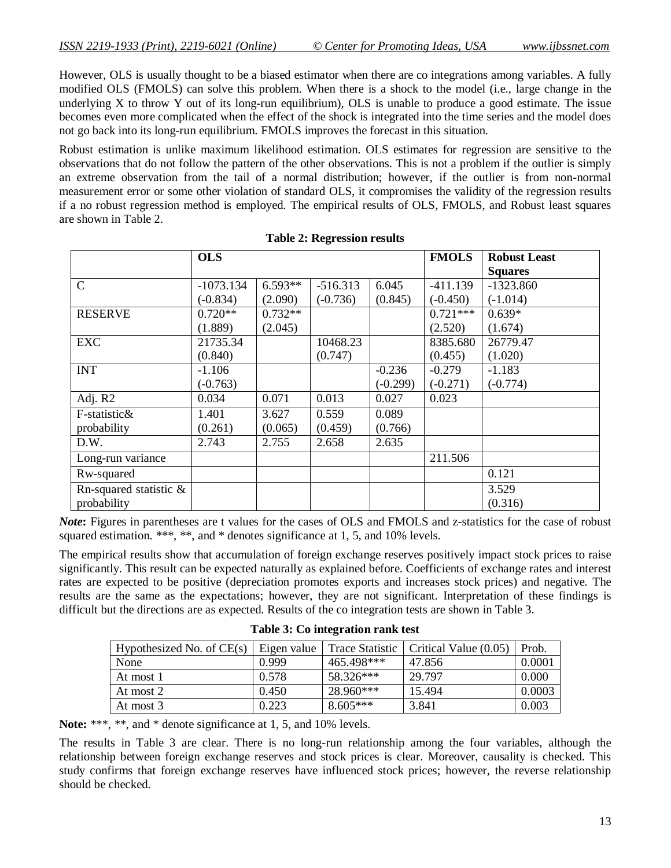However, OLS is usually thought to be a biased estimator when there are co integrations among variables. A fully modified OLS (FMOLS) can solve this problem. When there is a shock to the model (i.e., large change in the underlying X to throw Y out of its long-run equilibrium), OLS is unable to produce a good estimate. The issue becomes even more complicated when the effect of the shock is integrated into the time series and the model does not go back into its long-run equilibrium. FMOLS improves the forecast in this situation.

Robust estimation is unlike maximum likelihood estimation. OLS estimates for regression are sensitive to the observations that do not follow the pattern of the other observations. This is not a problem if the outlier is simply an extreme observation from the tail of a normal distribution; however, if the outlier is from non-normal measurement error or some other violation of standard OLS, it compromises the validity of the regression results if a no robust regression method is employed. The empirical results of OLS, FMOLS, and Robust least squares are shown in Table 2.

|                           | <b>OLS</b>  |           |            |            | <b>FMOLS</b> | <b>Robust Least</b> |
|---------------------------|-------------|-----------|------------|------------|--------------|---------------------|
|                           |             |           |            |            |              | <b>Squares</b>      |
| $\mathcal{C}$             | $-1073.134$ | $6.593**$ | $-516.313$ | 6.045      | $-411.139$   | $-1323.860$         |
|                           | $(-0.834)$  | (2.090)   | $(-0.736)$ | (0.845)    | $(-0.450)$   | $(-1.014)$          |
| <b>RESERVE</b>            | $0.720**$   | $0.732**$ |            |            | $0.721***$   | $0.639*$            |
|                           | (1.889)     | (2.045)   |            |            | (2.520)      | (1.674)             |
| <b>EXC</b>                | 21735.34    |           | 10468.23   |            | 8385.680     | 26779.47            |
|                           | (0.840)     |           | (0.747)    |            | (0.455)      | (1.020)             |
| <b>INT</b>                | $-1.106$    |           |            | $-0.236$   | $-0.279$     | $-1.183$            |
|                           | $(-0.763)$  |           |            | $(-0.299)$ | $(-0.271)$   | $(-0.774)$          |
| Adj. R2                   | 0.034       | 0.071     | 0.013      | 0.027      | 0.023        |                     |
| F-statistic&              | 1.401       | 3.627     | 0.559      | 0.089      |              |                     |
| probability               | (0.261)     | (0.065)   | (0.459)    | (0.766)    |              |                     |
| D.W.                      | 2.743       | 2.755     | 2.658      | 2.635      |              |                     |
| Long-run variance         |             |           |            |            | 211.506      |                     |
| Rw-squared                |             |           |            |            |              | 0.121               |
| Rn-squared statistic $\&$ |             |           |            |            |              | 3.529               |
| probability               |             |           |            |            |              | (0.316)             |

| <b>Table 2: Regression results</b> |
|------------------------------------|
|------------------------------------|

*Note***:** Figures in parentheses are t values for the cases of OLS and FMOLS and z-statistics for the case of robust squared estimation. \*\*\*, \*\*, and \* denotes significance at 1, 5, and 10% levels.

The empirical results show that accumulation of foreign exchange reserves positively impact stock prices to raise significantly. This result can be expected naturally as explained before. Coefficients of exchange rates and interest rates are expected to be positive (depreciation promotes exports and increases stock prices) and negative. The results are the same as the expectations; however, they are not significant. Interpretation of these findings is difficult but the directions are as expected. Results of the co integration tests are shown in Table 3.

|  |  | Table 3: Co integration rank test |  |  |
|--|--|-----------------------------------|--|--|
|--|--|-----------------------------------|--|--|

| Hypothesized No. of $CE(s)$ | Eigen value | <b>Trace Statistic</b> | Critical Value (0.05) | Prob.  |
|-----------------------------|-------------|------------------------|-----------------------|--------|
| None                        | 0.999       | 465.498***             | 47.856                | 0.0001 |
| At most 1                   | 0.578       | 58.326***              | 29.797                | 0.000  |
| At most 2                   | 0.450       | 28.960***              | 15.494                | 0.0003 |
| At most 3                   | 0.223       | $8.605***$             | 3.841                 | 0.003  |

Note: \*\*\*, \*\*, and \* denote significance at 1, 5, and 10% levels.

The results in Table 3 are clear. There is no long-run relationship among the four variables, although the relationship between foreign exchange reserves and stock prices is clear. Moreover, causality is checked. This study confirms that foreign exchange reserves have influenced stock prices; however, the reverse relationship should be checked.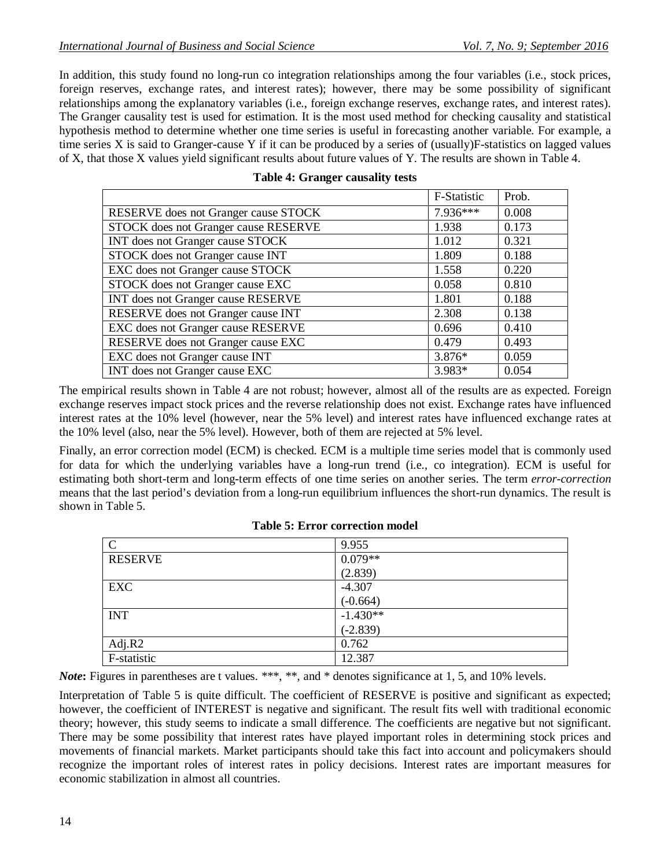In addition, this study found no long-run co integration relationships among the four variables (i.e., stock prices, foreign reserves, exchange rates, and interest rates); however, there may be some possibility of significant relationships among the explanatory variables (i.e., foreign exchange reserves, exchange rates, and interest rates). The Granger causality test is used for estimation. It is the most used method for checking causality and statistical hypothesis method to determine whether one time series is useful in forecasting another variable. For example, a time series X is said to Granger-cause Y if it can be produced by a series of (usually)F-statistics on lagged values of X, that those X values yield significant results about future values of Y. The results are shown in Table 4.

|                                      | F-Statistic | Prob. |
|--------------------------------------|-------------|-------|
| RESERVE does not Granger cause STOCK | 7.936***    | 0.008 |
| STOCK does not Granger cause RESERVE | 1.938       | 0.173 |
| INT does not Granger cause STOCK     | 1.012       | 0.321 |
| STOCK does not Granger cause INT     | 1.809       | 0.188 |
| EXC does not Granger cause STOCK     | 1.558       | 0.220 |
| STOCK does not Granger cause EXC     | 0.058       | 0.810 |
| INT does not Granger cause RESERVE   | 1.801       | 0.188 |
| RESERVE does not Granger cause INT   | 2.308       | 0.138 |
| EXC does not Granger cause RESERVE   | 0.696       | 0.410 |
| RESERVE does not Granger cause EXC   | 0.479       | 0.493 |
| EXC does not Granger cause INT       | 3.876*      | 0.059 |
| INT does not Granger cause EXC       | 3.983*      | 0.054 |

#### **Table 4: Granger causality tests**

The empirical results shown in Table 4 are not robust; however, almost all of the results are as expected. Foreign exchange reserves impact stock prices and the reverse relationship does not exist. Exchange rates have influenced interest rates at the 10% level (however, near the 5% level) and interest rates have influenced exchange rates at the 10% level (also, near the 5% level). However, both of them are rejected at 5% level.

Finally, an error correction model (ECM) is checked. ECM is a multiple time series model that is commonly used for data for which the underlying variables have a long-run trend (i.e., co integration). ECM is useful for estimating both short-term and long-term effects of one time series on another series. The term *error-correction* means that the last period's deviation from a long-run equilibrium influences the short-run dynamics. The result is shown in Table 5.

| $\mathbf C$    | 9.955      |
|----------------|------------|
| <b>RESERVE</b> | $0.079**$  |
|                | (2.839)    |
| EXC            | $-4.307$   |
|                | $(-0.664)$ |
| <b>INT</b>     | $-1.430**$ |
|                | $(-2.839)$ |
| Adj.R2         | 0.762      |
| F-statistic    | 12.387     |

#### **Table 5: Error correction model**

*Note***:** Figures in parentheses are t values. \*\*\*, \*\*, and \* denotes significance at 1, 5, and 10% levels.

Interpretation of Table 5 is quite difficult. The coefficient of RESERVE is positive and significant as expected; however, the coefficient of INTEREST is negative and significant. The result fits well with traditional economic theory; however, this study seems to indicate a small difference. The coefficients are negative but not significant. There may be some possibility that interest rates have played important roles in determining stock prices and movements of financial markets. Market participants should take this fact into account and policymakers should recognize the important roles of interest rates in policy decisions. Interest rates are important measures for economic stabilization in almost all countries.